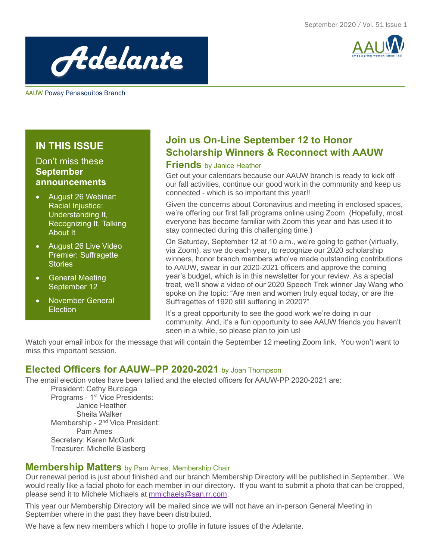

*Adelante*

AAUW Poway Penasquitos Branch

## **IN THIS ISSUE**

## Don't miss these **September announcements**

- August 26 Webinar: Racial Injustice: Understanding It, Recognizing It, Talking About It
- August 26 Live Video Premier: Suffragette **Stories**
- **General Meeting** September 12
- November General **Election**

## **Join us On-Line September 12 to Honor Scholarship Winners & Reconnect with AAUW**

### **Friends** by Janice Heather

Get out your calendars because our AAUW branch is ready to kick off our fall activities, continue our good work in the community and keep us connected - which is so important this year!!

Given the concerns about Coronavirus and meeting in enclosed spaces, we're offering our first fall programs online using Zoom. (Hopefully, most everyone has become familiar with Zoom this year and has used it to stay connected during this challenging time.)

On Saturday, September 12 at 10 a.m., we're going to gather (virtually, via Zoom), as we do each year, to recognize our 2020 scholarship winners, honor branch members who've made outstanding contributions to AAUW, swear in our 2020-2021 officers and approve the coming year's budget, which is in this newsletter for your review. As a special treat, we'll show a video of our 2020 Speech Trek winner Jay Wang who spoke on the topic: "Are men and women truly equal today, or are the Suffragettes of 1920 still suffering in 2020?"

It's a great opportunity to see the good work we're doing in our community. And, it's a fun opportunity to see AAUW friends you haven't seen in a while, so please plan to join us!

Watch your email inbox for the message that will contain the September 12 meeting Zoom link. You won't want to miss this important session.

## **Elected Officers for AAUW–PP 2020-2021** by Joan Thompson

The email election votes have been tallied and the elected officers for AAUW-PP 2020-2021 are:

President: Cathy Burciaga Programs - 1<sup>st</sup> Vice Presidents: Janice Heather Sheila Walker Membership - 2<sup>nd</sup> Vice President: Pam Ames Secretary: Karen McGurk Treasurer: Michelle Blasberg

#### **Membership Matters** by Pam Ames, Membership Chair

Our renewal period is just about finished and our branch Membership Directory will be published in September. We would really like a facial photo for each member in our directory. If you want to submit a photo that can be cropped, please send it to Michele Michaels at [mmichaels@san.rr.com.](mailto:mmichaels@san.rr.com)

This year our Membership Directory will be mailed since we will not have an in-person General Meeting in September where in the past they have been distributed.

We have a few new members which I hope to profile in future issues of the Adelante.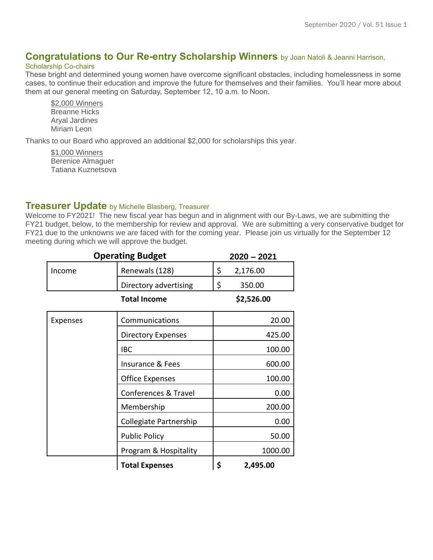## **Congratulations to Our Re-entry Scholarship Winners** by Joan Natoli & Jeanni Harrison,

#### Scholarship Co-chairs

These bright and determined young women have overcome significant obstacles, including homelessness in some cases, to continue their education and improve the future for themselves and their families. You'll hear more about them at our general meeting on Saturday, September 12, 10 a.m. to Noon.

\$2,000 Winners Breanne Hicks Aryal Jardines Miriam Leon

Thanks to our Board who approved an additional \$2,000 for scholarships this year.

\$1,000 Winners Berenice Almaguer Tatiana Kuznetsova

#### **Treasurer Update** by Michelle Blasberg, Treasurer

Welcome to FY2021! The new fiscal year has begun and in alignment with our By-Laws, we are submitting the FY21 budget, below, to the membership for review and approval. We are submitting a very conservative budget for FY21 due to the unknowns we are faced with for the coming year. Please join us virtually for the September 12 meeting during which we will approve the budget.

| <b>Operating Budget</b> |                        | $2020 - 2021$  |  |
|-------------------------|------------------------|----------------|--|
| Income                  | Renewals (128)         | \$<br>2,176.00 |  |
|                         | Directory advertising  | \$<br>350.00   |  |
| <b>Total Income</b>     |                        | \$2,526.00     |  |
| <b>Expenses</b>         | Communications         | 20.00          |  |
|                         | Directory Expenses     | 425.00         |  |
|                         | <b>IBC</b>             | 100.00         |  |
|                         | Insurance & Fees       | 600.00         |  |
|                         | <b>Office Expenses</b> | 100.00         |  |
|                         | Conferences & Travel   | 0.00           |  |
|                         | Membership             | 200.00         |  |
|                         | Collegiate Partnership | 0.00           |  |
|                         | <b>Public Policy</b>   | 50.00          |  |
|                         | Program & Hospitality  | 1000.00        |  |
|                         | <b>Total Expenses</b>  | \$<br>2,495.00 |  |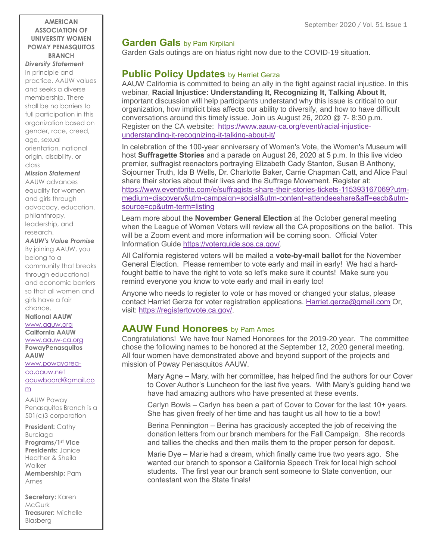#### **AMERICAN ASSOCIATION OF UNIVERSITY WOMEN POWAY PENASQUITOS BRANCH**

*Diversity Statement* In principle and practice, AAUW values and seeks a diverse membership. There shall be no barriers to full participation in this organization based on gender, race, creed, age, sexual orientation, national origin, disability, or class

#### *Mission Statement*

AAUW advances equality for women and girls through advocacy, education, philanthropy, leadership, and research.

## *AAUW's Value Promise*

By joining AAUW, you belong to a community that breaks through educational and economic barriers so that all women and girls have a fair chance.

**National AAUW** [www.aauw.org](http://www.aauw.org/) **California AAUW** [www.aauw-ca.org](http://www.aauw-ca.org/) **PowayPenasquitos AAUW** [www.powayarea-](http://www.powayarea-ca.aauw.net/)

[ca.aauw.net](http://www.powayarea-ca.aauw.net/) [aauwboard@gmail.co](mailto:aauwboard@gmail.com) [m](mailto:aauwboard@gmail.com)

AAUW Poway Penasquitos Branch is a 501(c)3 corporation

**President:** Cathy Burciaga **Programs/1st Vice Presidents:** Janice Heather & Sheila Walker **Membership:** Pam Ames

**Secretary:** Karen McGurk **Treasurer:** Michelle Blasberg

## **Garden Gals** by Pam Kirpilani

Garden Gals outings are on hiatus right now due to the COVID-19 situation.

## **Public Policy Updates** by Harriet Gerza

AAUW California is committed to being an ally in the fight against racial injustice. In this webinar, **Racial Injustice: Understanding It, Recognizing It, Talking About It**, important discussion will help participants understand why this issue is critical to our organization, how implicit bias affects our ability to diversify, and how to have difficult conversations around this timely issue. Join us August 26, 2020 @ 7- 8:30 p.m. Register on the CA website: [https://www.aauw-ca.org/event/racial-injustice](https://www.aauw-ca.org/event/racial-injustice-understanding-it-recognizing-it-talking-about-it/)[understanding-it-recognizing-it-talking-about-it/](https://www.aauw-ca.org/event/racial-injustice-understanding-it-recognizing-it-talking-about-it/)

In celebration of the 100-year anniversary of Women's Vote, the Women's Museum will host **Suffragette Stories** and a parade on August 26, 2020 at 5 p.m. In this live video premier, suffragist reenactors portraying Elizabeth Cady Stanton, Susan B Anthony, Sojourner Truth, Ida B Wells, Dr. Charlotte Baker, Carrie Chapman Catt, and Alice Paul share their stories about their lives and the Suffrage Movement. Register at: [https://www.eventbrite.com/e/suffragists-share-their-stories-tickets-115393167069?utm](https://www.eventbrite.com/e/suffragists-share-their-stories-tickets-115393167069?utm-medium=discovery&utm-campaign=social&utm-content=attendeeshare&aff=escb&utm-source=cp&utm-term=listing)[medium=discovery&utm-campaign=social&utm-content=attendeeshare&aff=escb&utm](https://www.eventbrite.com/e/suffragists-share-their-stories-tickets-115393167069?utm-medium=discovery&utm-campaign=social&utm-content=attendeeshare&aff=escb&utm-source=cp&utm-term=listing)[source=cp&utm-term=listing](https://www.eventbrite.com/e/suffragists-share-their-stories-tickets-115393167069?utm-medium=discovery&utm-campaign=social&utm-content=attendeeshare&aff=escb&utm-source=cp&utm-term=listing)

Learn more about the **November General Election** at the October general meeting when the League of Women Voters will review all the CA propositions on the ballot. This will be a Zoom event and more information will be coming soon. Official Voter Information Guide [https://voterguide.sos.ca.gov/.](https://voterguide.sos.ca.gov/)

All California registered voters will be mailed a **vote-by-mail ballot** for the November General Election. Please remember to vote early and mail in early! We had a hardfought battle to have the right to vote so let's make sure it counts! Make sure you remind everyone you know to vote early and mail in early too!

Anyone who needs to register to vote or has moved or changed your status, please contact Harriet Gerza for voter registration applications. [Harriet.gerza@gmail.com](mailto:Harriet.gerza@gmail.com) Or, visit: [https://registertovote.ca.gov/.](https://registertovote.ca.gov/)

## **AAUW Fund Honorees** by Pam Ames

Congratulations! We have four Named Honorees for the 2019-20 year. The committee chose the following names to be honored at the September 12, 2020 general meeting. All four women have demonstrated above and beyond support of the projects and mission of Poway Penasquitos AAUW.

Mary Agne – Mary, with her committee, has helped find the authors for our Cover to Cover Author's Luncheon for the last five years. With Mary's guiding hand we have had amazing authors who have presented at these events.

Carlyn Bowls – Carlyn has been a part of Cover to Cover for the last 10+ years. She has given freely of her time and has taught us all how to tie a bow!

Berina Pennington – Berina has graciously accepted the job of receiving the donation letters from our branch members for the Fall Campaign. She records and tallies the checks and then mails them to the proper person for deposit.

Marie Dye – Marie had a dream, which finally came true two years ago. She wanted our branch to sponsor a California Speech Trek for local high school students. The first year our branch sent someone to State convention, our contestant won the State finals!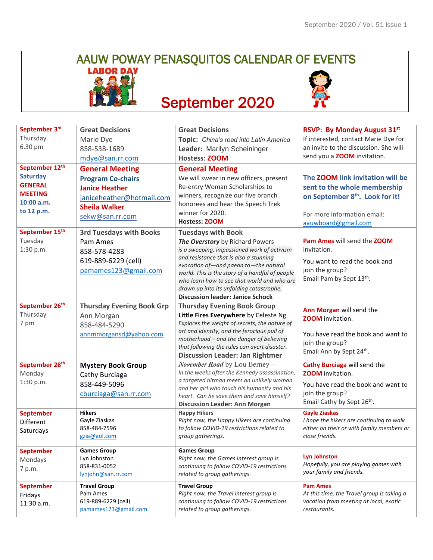# AAUW POWAY PENASQUITOS CALENDAR OF EVENTS



## September 2020



| September 3rd<br>Thursday<br>6.30 pm<br>September 12th<br><b>Saturday</b> | <b>Great Decisions</b><br>Marie Dye<br>858-538-1689<br>mdye@san.rr.com<br><b>General Meeting</b><br><b>Program Co-chairs</b> | <b>Great Decisions</b><br>Topic: China's road into Latin America<br>Leader: Marilyn Scheininger<br><b>Hostess: ZOOM</b><br><b>General Meeting</b><br>We will swear in new officers, present                                                                                                                                                                                             | <b>RSVP: By Monday August 31st</b><br>If interested, contact Marie Dye for<br>an invite to the discussion. She will<br>send you a <b>ZOOM</b> invitation.<br>The ZOOM link invitation will be |
|---------------------------------------------------------------------------|------------------------------------------------------------------------------------------------------------------------------|-----------------------------------------------------------------------------------------------------------------------------------------------------------------------------------------------------------------------------------------------------------------------------------------------------------------------------------------------------------------------------------------|-----------------------------------------------------------------------------------------------------------------------------------------------------------------------------------------------|
| <b>GENERAL</b><br><b>MEETING</b><br>$10:00$ a.m.<br>to 12 p.m.            | <b>Janice Heather</b><br>janiceheather@hotmail.com<br><b>Sheila Walker</b><br>sekw@san.rr.com                                | Re-entry Woman Scholarships to<br>winners, recognize our five branch<br>honorees and hear the Speech Trek<br>winner for 2020.<br><b>Hostess: ZOOM</b>                                                                                                                                                                                                                                   | sent to the whole membership<br>on September 8th. Look for it!<br>For more information email:<br>aauwboard@gmail.com                                                                          |
| September 15th<br>Tuesday<br>1:30 p.m.                                    | <b>3rd Tuesdays with Books</b><br>Pam Ames<br>858-578-4283<br>619-889-6229 (cell)<br>pamames123@gmail.com                    | <b>Tuesdays with Book</b><br>The Overstory by Richard Powers<br>is a sweeping, impassioned work of activism<br>and resistance that is also a stunning<br>evocation of-and paean to-the natural<br>world. This is the story of a handful of people<br>who learn how to see that world and who are<br>drawn up into its unfolding catastrophe.<br><b>Discussion leader: Janice Schock</b> | Pam Ames will send the ZOOM<br>invitation.<br>You want to read the book and<br>join the group?<br>Email Pam by Sept 13th.                                                                     |
| September 26th<br>Thursday<br>7 pm                                        | <b>Thursday Evening Book Grp</b><br>Ann Morgan<br>858-484-5290<br>annmmorgansd@yahoo.com                                     | <b>Thursday Evening Book Group</b><br>Little Fires Everywhere by Celeste Ng<br>Explores the weight of secrets, the nature of<br>art and identity, and the ferocious pull of<br>motherhood - and the danger of believing<br>that following the rules can avert disaster.<br><b>Discussion Leader: Jan Rightmer</b>                                                                       | Ann Morgan will send the<br><b>ZOOM</b> invitation.<br>You have read the book and want to<br>join the group?<br>Email Ann by Sept 24 <sup>th</sup> .                                          |
| September 28th<br>Monday<br>1:30 p.m.                                     | <b>Mystery Book Group</b><br>Cathy Burciaga<br>858-449-5096<br>cburciaga@san.rr.com                                          | November Road by Lou Berney -<br>In the weeks after the Kennedy assassination,<br>a targeted hitman meets an unlikely woman<br>and her girl who touch his humanity and his<br>heart. Can he save them and save himself?<br><b>Discussion Leader: Ann Morgan</b>                                                                                                                         | Cathy Burciaga will send the<br><b>ZOOM</b> invitation.<br>You have read the book and want to<br>join the group?<br>Email Cathy by Sept 26 <sup>th</sup> .                                    |
| <b>September</b><br>Different<br>Saturdays                                | <b>Hikers</b><br>Gayle Ziaskas<br>858-484-7596<br>gzia@aol.com                                                               | <b>Happy Hikers</b><br>Right now, the Happy Hikers are continuing<br>to follow COVID-19 restrictions related to<br>group gatherings.                                                                                                                                                                                                                                                    | <b>Gayle Ziaskas</b><br>I hope the hikers are continuing to walk<br>either on their or with family members or<br>close friends.                                                               |
| <b>September</b><br>Mondays<br>7 p.m.                                     | <b>Games Group</b><br>Lyn Johnston<br>858-831-0052<br>lynjohn@san.rr.com                                                     | <b>Games Group</b><br>Right now, the Games interest group is<br>continuing to follow COVID-19 restrictions<br>related to group gatherings.                                                                                                                                                                                                                                              | <b>Lyn Johnston</b><br>Hopefully, you are playing games with<br>your family and friends.                                                                                                      |
| <b>September</b><br>Fridays<br>11:30 a.m.                                 | <b>Travel Group</b><br>Pam Ames<br>619-889-6229 (cell)<br>pamames123@gmail.com                                               | <b>Travel Group</b><br>Right now, the Travel interest group is<br>continuing to follow COVID-19 restrictions<br>related to group gatherings.                                                                                                                                                                                                                                            | <b>Pam Ames</b><br>At this time, the Travel group is taking a<br>vacation from meeting at local, exotic<br>restaurants.                                                                       |